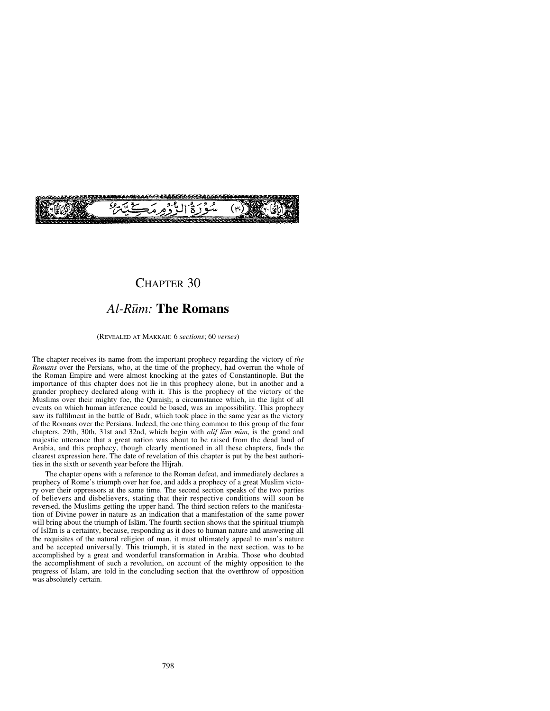

# CHAPTER 30

# *Al-R∂m:* **The Romans**

(REVEALED AT MAKKAH: 6 *sections*; 60 *verses*)

The chapter receives its name from the important prophecy regarding the victory of *the Romans* over the Persians, who, at the time of the prophecy, had overrun the whole of the Roman Empire and were almost knocking at the gates of Constantinople. But the importance of this chapter does not lie in this prophecy alone, but in another and a grander prophecy declared along with it. This is the prophecy of the victory of the Muslims over their mighty foe, the Quraish; a circumstance which, in the light of all events on which human inference could be based, was an impossibility. This prophecy saw its fulfilment in the battle of Badr, which took place in the same year as the victory of the Romans over the Persians. Indeed, the one thing common to this group of the four chapters, 29th, 30th, 31st and 32nd, which begin with *alif lām mim*, is the grand and majestic utterance that a great nation was about to be raised from the dead land of Arabia, and this prophecy, though clearly mentioned in all these chapters, finds the clearest expression here. The date of revelation of this chapter is put by the best authorities in the sixth or seventh year before the Hijrah.

The chapter opens with a reference to the Roman defeat, and immediately declares a prophecy of Rome's triumph over her foe, and adds a prophecy of a great Muslim victory over their oppressors at the same time. The second section speaks of the two parties of believers and disbelievers, stating that their respective conditions will soon be reversed, the Muslims getting the upper hand. The third section refers to the manifestation of Divine power in nature as an indication that a manifestation of the same power will bring about the triumph of Islåm. The fourth section shows that the spiritual triumph of Islåm is a certainty, because, responding as it does to human nature and answering all the requisites of the natural religion of man, it must ultimately appeal to man's nature and be accepted universally. This triumph, it is stated in the next section, was to be accomplished by a great and wonderful transformation in Arabia. Those who doubted the accomplishment of such a revolution, on account of the mighty opposition to the progress of Islåm, are told in the concluding section that the overthrow of opposition was absolutely certain.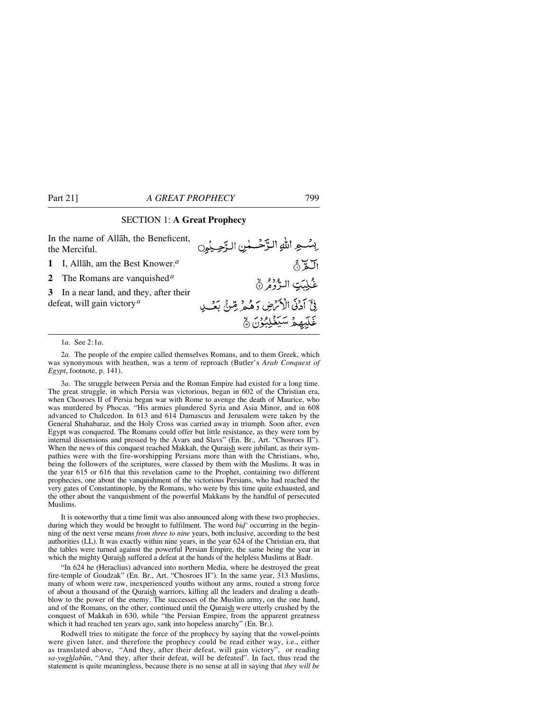### SECTION 1: **A Great Prophecy**

In the name of Allåh, the Beneficent, بِسُّعِ اللهِ الزَّحْسُسِ الزَّحِيْوِنِ the Merciful. الكرُّ<br>غُـلِبَتِ الـدُّرُوُّرُ **1** I, Allåh, am the Best Knower.*<sup>a</sup>* **2** The Romans are vanquished*<sup>a</sup>* **3** In a near land, and they, after their فِيَّ آدُنَى الْأَكْرَضِ وَهُمْ رِّسِيٍّ بَعْسِي defeat, will gain victory*<sup>a</sup>* غَلِّبِهِمْ سَيَغْلِبُوْنَ ۾

1*a.* See 2:1*a*.

2*a.* The people of the empire called themselves Romans, and to them Greek, which was synonymous with heathen, was a term of reproach (Butler's *Arab Conquest of Egypt*, footnote, p. 141).

3*a.* The struggle between Persia and the Roman Empire had existed for a long time. The great struggle, in which Persia was victorious, began in 602 of the Christian era, when Chosroes II of Persia began war with Rome to avenge the death of Maurice, who was murdered by Phocas. "His armies plundered Syria and Asia Minor, and in 608 advanced to Chalcedon. In 613 and 614 Damascus and Jerusalem were taken by the General Shahabaraz, and the Holy Cross was carried away in triumph. Soon after, even Egypt was conquered. The Romans could offer but little resistance, as they were torn by internal dissensions and pressed by the Avars and Slavs" (En. Br., Art. "Chosroes II"). When the news of this conquest reached Makkah, the Quraish were jubilant, as their sympathies were with the fire-worshipping Persians more than with the Christians, who, being the followers of the scriptures, were classed by them with the Muslims. It was in the year 615 or 616 that this revelation came to the Prophet, containing two different prophecies, one about the vanquishment of the victorious Persians, who had reached the very gates of Constantinople, by the Romans, who were by this time quite exhausted, and the other about the vanquishment of the powerful Makkans by the handful of persecuted Muslims.

It is noteworthy that a time limit was also announced along with these two prophecies, during which they would be brought to fulfilment. The word *bid'* occurring in the beginning of the next verse means *from three to nine* years, both inclusive, according to the best authorities (LL). It was exactly within nine years, in the year 624 of the Christian era, that the tables were turned against the powerful Persian Empire, the same being the year in which the mighty Quraish suffered a defeat at the hands of the helpless Muslims at Badr.

"In 624 he (Heraclius) advanced into northern Media, where he destroyed the great fire-temple of Goudzak" (En. Br., Art. "Chosroes II"). In the same year, 313 Muslims, many of whom were raw, inexperienced youths without any arms, routed a strong force of about a thousand of the Quraish warriors, killing all the leaders and dealing a deathblow to the power of the enemy. The successes of the Muslim army, on the one hand, and of the Romans, on the other, continued until the Quraish were utterly crushed by the conquest of Makkah in 630, while "the Persian Empire, from the apparent greatness which it had reached ten years ago, sank into hopeless anarchy" (En. Br.).

Rodwell tries to mitigate the force of the prophecy by saying that the vowel-points were given later, and therefore the prophecy could be read either way, i.e., either as translated above, "And they, after their defeat, will gain victory", or reading *sa-yughlab∂n*, "And they, after their defeat, will be defeated". In fact, thus read the statement is quite meaningless, because there is no sense at all in saying that *they will be*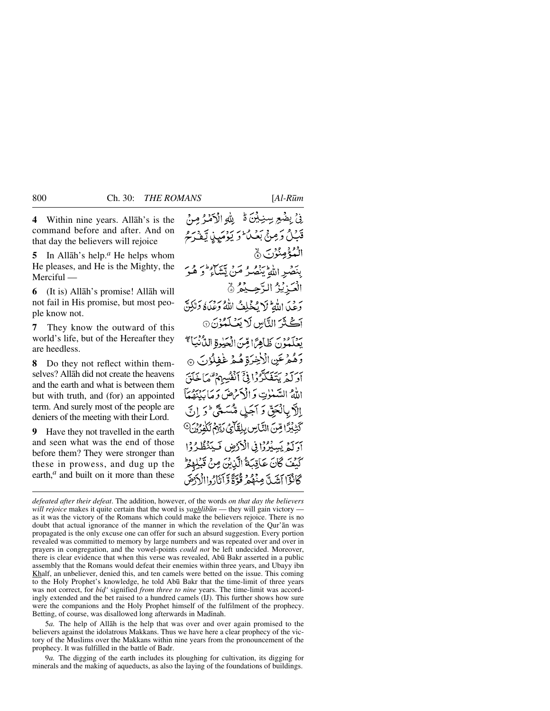**4** Within nine years. Allåh's is the command before and after. And on that day the believers will rejoice

**5** In Allåh's help.*<sup>a</sup>* He helps whom He pleases, and He is the Mighty, the Merciful —

**7** They know the outward of this world's life, but of the Hereafter they are heedless.

**8** Do they not reflect within themselves? Allåh did not create the heavens and the earth and what is between them but with truth, and (for) an appointed term. And surely most of the people are deniers of the meeting with their Lord.

**9** Have they not travelled in the earth and seen what was the end of those before them? They were stronger than these in prowess, and dug up the earth,<sup>*a*</sup> and built on it more than these

فِيْ بِضْعِ سِنِيْنَ ةُ لِلَّهِ الْأَصْرُ مِنْ قْنَيْلُ وَصِنْيٌ بَعْيَا ۖ وَ يَوْمَيِدْ، تَبْغَدْ يُحْرِ الْبُدْعُمِينُوْرِي ﴾ بنصُرِ اللَّهِ يَنصُرُ مَنْ يَّشَاءُ وَ هُوَ الْعَزِيْزُ الرَّحِيْمُ ﴾ دَعَيْدَ اللَّهِ ثَلَا يُخْلِفُ اللَّهُ وَعَلَّاهُ وَلَكِنَّ آڪَٽَرَ النَّاسِ لَا يَعۡـُـلَّمُوۡنَ ۞ يَعْلَمُوْنَ ظَاهِرًا قِنَ الْحَيْوَةِ الدَّنْيَاءَ ۖ رَهُمْ عَنِ الْأَخِرَةِ هُمْ غَفِلُوْنَ ۞ أَدَبَةٍ بِتَغَكَّدَّوْا فِيَّ أَنْفُسِهِمْ تَبْهَا خَلَقَ الله البسلات وَ الْأَمْرَضَ وَ مَا يَبْنِقُهَآ الآد بالْعَقِّ وَ أَجَيْلِ مُّبَسَعَتِي ۖ وَ إِنِّي كَثِيْبِرًا مِّنَ النَّامِنِ بِلِقَائِمَ رَبِّهِمُ لَكُورُدِي<sup>0</sup> آوَلَّهُ يَسِيُرُوْا فِي الْأَرْضِ فَيَنْظُرُوْا كَيْفَ كَانَ عَاقِبَةُ الَّذِيْنَ مِنْ قَبْلِهِ كَانْؤَا أَيْنَدِيَّ مِنْهُمْ قُوَّةً وَّأَنَادُواالْأَدْوَةَ

*defeated after their defeat*. The addition, however, of the words *on that day the believers will rejoice* makes it quite certain that the word is *yaghlibūn* — they will gain victory as it was the victory of the Romans which could make the believers rejoice. There is no doubt that actual ignorance of the manner in which the revelation of the Qur'ån was propagated is the only excuse one can offer for such an absurd suggestion. Every portion revealed was committed to memory by large numbers and was repeated over and over in prayers in congregation, and the vowel-points *could not* be left undecided. Moreover, there is clear evidence that when this verse was revealed, Abū Bakr asserted in a public assembly that the Romans would defeat their enemies within three years, and Ubayy ibn Khalf, an unbeliever, denied this, and ten camels were betted on the issue. This coming to the Holy Prophet's knowledge, he told Ab∂ Bakr that the time-limit of three years was not correct, for *bid'* signified *from three to nine* years. The time-limit was accordingly extended and the bet raised to a hundred camels (IJ). This further shows how sure were the companions and the Holy Prophet himself of the fulfilment of the prophecy. Betting, of course, was disallowed long afterwards in Madinah.

5*a.* The help of Allåh is the help that was over and over again promised to the believers against the idolatrous Makkans. Thus we have here a clear prophecy of the victory of the Muslims over the Makkans within nine years from the pronouncement of the prophecy. It was fulfilled in the battle of Badr.

9*a.* The digging of the earth includes its ploughing for cultivation, its digging for minerals and the making of aqueducts, as also the laying of the foundations of buildings.

**<sup>6</sup>** (It is) Allåh's promise! Allåh will not fail in His promise, but most people know not.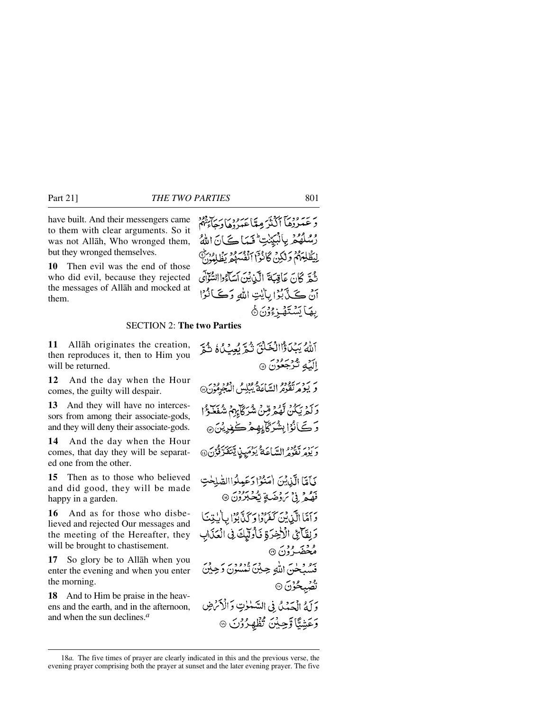have built. And their messengers came to them with clear arguments. So it was not Allåh, Who wronged them, but they wronged themselves.

**10** Then evil was the end of those who did evil, because they rejected the messages of Allåh and mocked at them.

### SECTION 2: **The two Parties**

**11** Allåh originates the creation, then reproduces it, then to Him you will be returned.

**12** And the day when the Hour comes, the guilty will despair.

**13** And they will have no intercessors from among their associate-gods, and they will deny their associate-gods.

**14** And the day when the Hour comes, that day they will be separated one from the other.

**15** Then as to those who believed and did good, they will be made happy in a garden.

**16** And as for those who disbelieved and rejected Our messages and the meeting of the Hereafter, they will be brought to chastisement.

**17** So glory be to Allåh when you enter the evening and when you enter the morning.

**18** And to Him be praise in the heavens and the earth, and in the afternoon, and when the sun declines.*<sup>a</sup>*

آللَّهُ يَبْدَأُواالْخَلْقَ تُوَّ بُعِبْ لُمُ ثُمَّ البَّهِ تُرْجَعُونَ ۞ ر بردير تقوير السّاعة يُبْلِسُ الْمُجْرِمُونَ@ وَكَمْ يَكُنْ لَّهُمْ قِنْ شُرَكَابِهِمْ شُفَخَوْا وَكَ)نُوۡٳ بِشُرَكَابِهِمۡ كَٰفِرِيۡنَ ۞ رسور يحود الساعَةُ بِرْمَيِنِ يَتَعَدَّدْ فَوْنَ @ يَأَمَّا الَّذِيْنَ (مَنْوُا دَعَبِيلُواالصَّلِحْتِ قَصَّعْرُ بِيْ تَرَوْضَةٍ يَكْحَبَرُوْنَ ۞ دَآمَّا الَّذِينَ كَفَرُدْا دَ كَنَّابُوْا بِالْبِتِنَا وَلِقَائِ الْأَخِرَةِ فَأُولَيْكَ فِي الْعَذَابِ مُحْضَرُوْنَ ۞ بيو ويل الله حِينَ تَمْسُوْنَ دَحِينَ ڭقىبچۇن © وَلَّهُ الْحَمْدُ فِي السَّنْوٰتِ وَالْأَمْرَضِ وَعَشِيًّا وَحِيْنَ تُظْهِرُوْنَ @

يريبه وديبآ أكثثر مِنتاعتبروها رجاءهم رُسُلُهُمْ بِالْبَيِّنْتِ ۖ فَيَمَا كَانَ اللَّهُ لِيَظْلِمَهُمْ وَلَٰكِنۡ كَانُوۡٓآاٖاَنۡفُسِهُمۡ يُظَلِمُوۡنَّ

نُهَةٍ كَانَ عَاقِبَةَ الْكَنْ بْنَ أَسَآءُ واالسُّوَّانَ أَنْ كَيْ بُوَّا بِأَيْتِ اللهِ وَكَيَانُوْا

**ِيهَ**ٵؾۺؾٙۿڔ۬ٷڽؘ۞

<sup>18</sup>*a.* The five times of prayer are clearly indicated in this and the previous verse, the evening prayer comprising both the prayer at sunset and the later evening prayer. The five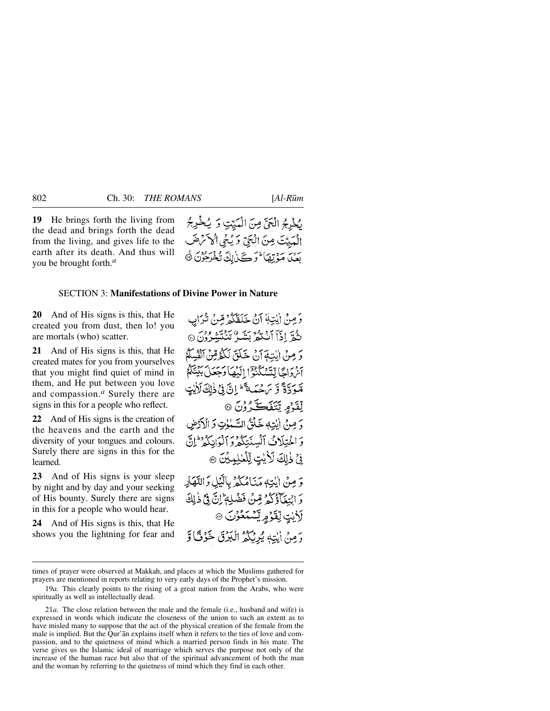# لِخْدِجُ الْحَيِّ مِنَ الْمَيِّتِ وَ يُخْرِجُ الْمَيِيَّتَ مِنَ الْجَيَّ وَ يُجْي أَكْمَنْ صَلَّ بَعْنَ مَوْتِهَا وَكَيْ لِكَ تُخْرَجُوْنَ ﴾

## SECTION 3: **Manifestations of Divine Power in Nature**

**20** And of His signs is this, that He created you from dust, then lo! you are mortals (who) scatter.

**21** And of His signs is this, that He created mates for you from yourselves that you might find quiet of mind in them, and He put between you love and compassion.*<sup>a</sup>* Surely there are signs in this for a people who reflect.

**22** And of His signs is the creation of the heavens and the earth and the diversity of your tongues and colours. Surely there are signs in this for the learned.

**23** And of His signs is your sleep by night and by day and your seeking of His bounty. Surely there are signs in this for a people who would hear.

**24** And of His signs is this, that He shows you the lightning for fear and

وَمِنْ إِيْتِهَ آنُ خَلَقَكُمْ قِرنُ تُرَابِ ثُدَّ إِذَآ أَنۡنَهُمۡ بَشَدٌ تَنۡنَقَٰنِهُ وَقُرَٰنَ ۞ وَ مِنْ إِيْتِهَآ أَنْ خَلَقَ لَكُمُّ قِنْ أَنْفُسِكُمْ آثروا حالتة يكثروا ائتها وجعل بينيكم قَبْدَةَ وَبِرَجْهَةَ إِنَّ فِي ذٰلِكَ لَأَلِيْتِ لِّفْذَ*وِ يَ*تَغَڪَّرُوْنَ ۞ دَ مِنْ اللَّهِ خَلْقٌ السَّلَوٰتِ وَ الْأَدْضِ وَ اخْتِلَاثُ ٱلْسِنْتِكُمْ وَٱلْوَانِكُمْ لِنَّ فِيْ ذٰلِكَ لَأَيْتٍ لِّلْغُلِيمِيْنَ ۞ وَ مِنْ اللَّهَاءِ مَنَامُكُمْ بِالَّيْلِ وَالنَّهَاْدِ وَ ابْتِغَآؤُكُمْ قِينٌ فَضَلِهٖ ۚ إِنَّ فِي ذٰلِكَ **َلاَيْتٍ لِّقَرْمٍ يَّسْمَعُوْنَ ۞** وَمِنْ إِيْتِهِ يُرِيْكُمُ الْبَرْقَ خَوْفًا وَّ

times of prayer were observed at Makkah, and places at which the Muslims gathered for prayers are mentioned in reports relating to very early days of the Prophet's mission.

<sup>19</sup>*a.* This clearly points to the rising of a great nation from the Arabs, who were spiritually as well as intellectually dead.

<sup>21</sup>*a.* The close relation between the male and the female (i.e., husband and wife) is expressed in words which indicate the closeness of the union to such an extent as to have misled many to suppose that the act of the physical creation of the female from the male is implied. But the Qur'ån explains itself when it refers to the ties of love and compassion, and to the quietness of mind which a married person finds in his mate. The verse gives us the Islamic ideal of marriage which serves the purpose not only of the increase of the human race but also that of the spiritual advancement of both the man and the woman by referring to the quietness of mind which they find in each other.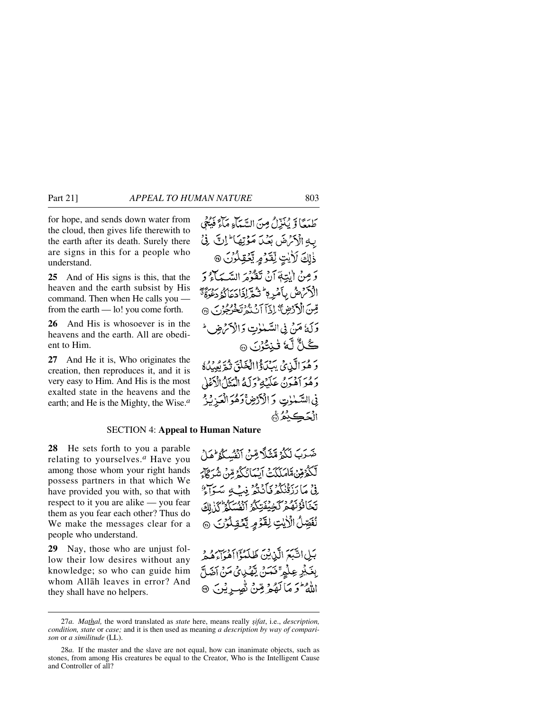for hope, and sends down water from the cloud, then gives life therewith to the earth after its death. Surely there are signs in this for a people who understand.

**25** And of His signs is this, that the heaven and the earth subsist by His command. Then when He calls you from the earth — lo! you come forth.

**26** And His is whosoever is in the heavens and the earth. All are obedient to Him.

**27** And He it is, Who originates the creation, then reproduces it, and it is very easy to Him. And His is the most exalted state in the heavens and the earth; and He is the Mighty, the Wise.*<sup>a</sup>*

َطَمُعَّا وَّ يُنَزِّلُ وِنَ الَسَّمَّاءِ مَاَءٍَوَيُّعُ
$$
\frac{1}{2}
$$
وَتَرِنَّ لَوَهِ يَحُوَلَّهَ أَرِانَ وَنَ اَلِنَّ مَوُوَنَّهَ

### SECTION 4: **Appeal to Human Nature**

**28** He sets forth to you a parable relating to yourselves.*<sup>a</sup>* Have you among those whom your right hands possess partners in that which We have provided you with, so that with respect to it you are alike — you fear them as you fear each other? Thus do We make the messages clear for a people who understand.

**29** Nay, those who are unjust follow their low desires without any knowledge; so who can guide him whom Allåh leaves in error? And they shall have no helpers.

صَرَبَ لَكُمْ مَّتَلَّا مِّنْ اَنْفُسِكُمْ هَلْ لَّكُوُمِّنْ قَامَلَكَتْ آيْمَانُكُمُ مِّنْ شُرَكَارَ نِيْ مَارَبِيْنِ وَرَبِّهِ فِي سَوَاءٌ تَخَافُؤُنَّهُمْ كَخِيْفَتِكُمُ ٱنْفُسَكُمْ كُذَٰاكَ نُفَصِّلُ الْأَيْتِ لِقَوْمِ يَكْفِلُوْنَ ۞

بَيْلِ اشْبَعَ الَّذِيْنَ طَلَعْوَٓا ٱهۡمَاءَهُمُوۡ وَ بِغَيْرِ عِلْمٍ ۚ فَتَمَنْ يَّهْدِئُ مَنْ آضَلَّ الله فتر مَا كَهُمْ مِّنْ تُصِيرِ يُنَ

<sup>27</sup>*a. Mathal*, the word translated as *state* here, means really *sifat*, i.e., *description*, *condition, state* or *case;* and it is then used as meaning *a description by way of comparison* or *a similitude* (LL).

<sup>28</sup>*a.* If the master and the slave are not equal, how can inanimate objects, such as stones, from among His creatures be equal to the Creator, Who is the Intelligent Cause and Controller of all?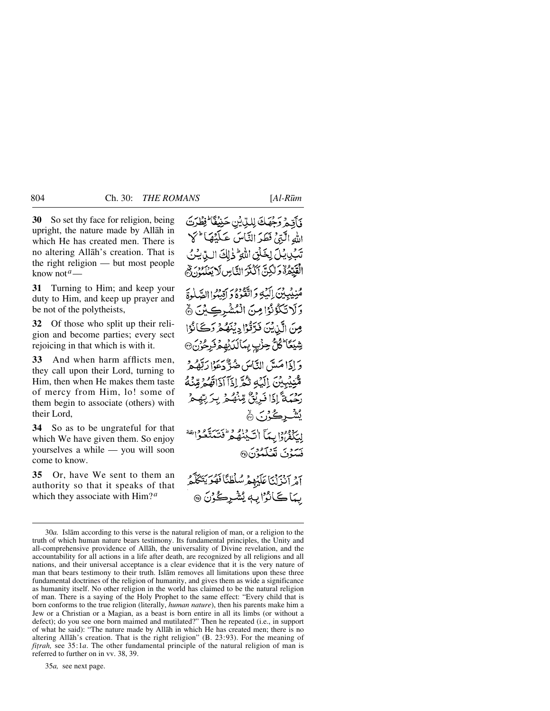**30** So set thy face for religion, being upright, the nature made by Allåh in which He has created men. There is no altering Allåh's creation. That is the right religion — but most people know not*a*—

**31** Turning to Him; and keep your duty to Him, and keep up prayer and be not of the polytheists,

**32** Of those who split up their religion and become parties; every sect rejoicing in that which is with it.

**33** And when harm afflicts men, they call upon their Lord, turning to Him, then when He makes them taste of mercy from Him, lo! some of them begin to associate (others) with their Lord,

**34** So as to be ungrateful for that which We have given them. So enjoy yourselves a while — you will soon come to know.

**35** Or, have We sent to them an authority so that it speaks of that which they associate with Him?*<sup>a</sup>*

فَأَقِيمُ وَجْهَكَ لِلَّذِيْنِ حَنِيْفَا ۖ فِظُرَتَ الله الَّذِيْ فَطَدَ النَّاسَ عَلَيْهَا ۚ كَلَّ تَبْكِيشِلَ لِخَلْقِ اللَّهِ ۖ ذٰلِكَ اللَّهِ لِيُنُ الْقَيِّمُوْ وَلَٰكِنَّ آَكْثَرَ النَّاسِ لَا يَعْلَمُوْنَ لِّمَ مُنِيْبِيْنَ إِلَيْهِ وَاتَّقُوهُ وَ إِقِيْبُوا الصَّلْوةَ وَلَاتَكُوْنُوْا مِنَ الْمُشْرِكِيْنَ ۞ مِنَ الَّذِيْنَ فَدَّقْوْا دِيْنَهُمْ دَكَانُوْا شِيَعَا<sup>ء</sup>ُگُلُّ جِزْبِ بِمَالَدَيْهِمْ فَرِجُوْنَ @ وَإِذَا مَيتَي النَّاسَ ضُدٌّ دَعَوْا رَتَّهُ هُمْ مّْبِنِيْهِيْنَ إِلَيْهِ تَبْحَرَ إِذَآ أَذَاقَهُمْ مِّنْهُ رَحْمَةٌ إِذَا فَدِيْقٌ مِّنْهُ مِ بِرَبِّهِ ؽۺ۬ڔڲؙۯڹ۞ لِيَكْفَرُوا بِيمَا السَّيْنِقُوطُ فَتَتَمَدَّوا تَفَعَ فَسَوْنَ تَعْلَمُوْنَ® أمْرَ أَنْزَلْنَا عَلَيْهِمْ سُلْطِئًا فَقُوَيَتَكَلَّعُهُ بِيَاكَانُوْابِهٖ يُشْرِكُوْنَ ۞

35*a,* see next page.

<sup>30</sup>*a.* Islåm according to this verse is the natural religion of man, or a religion to the truth of which human nature bears testimony. Its fundamental principles, the Unity and all-comprehensive providence of Allåh, the universality of Divine revelation, and the accountability for all actions in a life after death, are recognized by all religions and all nations, and their universal acceptance is a clear evidence that it is the very nature of man that bears testimony to their truth. Islåm removes all limitations upon these three fundamental doctrines of the religion of humanity, and gives them as wide a significance as humanity itself. No other religion in the world has claimed to be the natural religion of man. There is a saying of the Holy Prophet to the same effect: "Every child that is born conforms to the true religion (literally, *human nature*), then his parents make him a Jew or a Christian or a Magian, as a beast is born entire in all its limbs (or without a defect); do you see one born maimed and mutilated?" Then he repeated (i.e., in support of what he said): "The nature made by Allåh in which He has created men; there is no altering Allåh's creation. That is the right religion" (B. 23:93). For the meaning of *fitrah*, see 35:1*a*. The other fundamental principle of the natural religion of man is referred to further on in vv. 38, 39.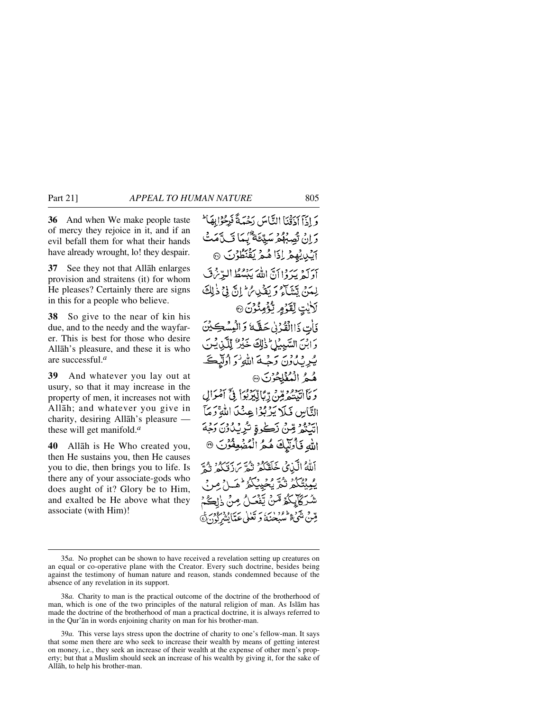**36** And when We make people taste of mercy they rejoice in it, and if an evil befall them for what their hands have already wrought, lo! they despair.

**37** See they not that Allåh enlarges provision and straitens (it) for whom He pleases? Certainly there are signs in this for a people who believe.

**38** So give to the near of kin his due, and to the needy and the wayfarer. This is best for those who desire Allåh's pleasure, and these it is who are successful.*<sup>a</sup>*

**39** And whatever you lay out at usury, so that it may increase in the property of men, it increases not with Allåh; and whatever you give in charity, desiring Allåh's pleasure these will get manifold.*<sup>a</sup>*

**40** Allåh is He Who created you, then He sustains you, then He causes you to die, then brings you to life. Is there any of your associate-gods who does aught of it? Glory be to Him, and exalted be He above what they associate (with Him)!

وَإِذَا اَذَقَنَا التَّاسَ دَحْمَةً فَرِحْوَابِهَا لَم دَانْ تْصِبْهُمْ سَيِّئَةٌ كِيمَا قَبِيَّةٌ مَتْ اَيُّلِيْهِمُ لِذَاهُمُ يَقْنَطُوْنَ ۞ أَدَلَهُ يَدَدُانَ اللَّهَ يَبْسُطُ البِّرْنِنَّ لِمَدَنَّ يَتَنَبَّآهُ وَيَغْدَى مُ إِنَّ فِي ذَٰلِكَ لَأَيْتٍ لِقَوْمٍ يُؤْمِنُوْنَ ۞ فَأَتِ ذَاالْقُدْنِي حَقَّبَةً وَالْمُسْكِينَ وَابْنَ السَّبِيْلِ ذٰلِكَ خَيْرٌ لِلَّذِيشَ يُرِيْدُوْنَ وَجِّيةَ اللَّهِ وَ أُولَّيْكَ هُمُ الْمُثْلِحُوْنَ ۞ حَرَمَا أَتَبِيتُهُمْ قِنْ رِّبَالَّيْدَبُوَاْ فِيَّ آَمُوَالِ النَّاسِ فَبِلاَ يَدْبُوْا عِنْكَا اللَّهِ ۚ وَمَآ اتبَنْعُ مِّنْ نَكْرِةٍ تُرِيْدُوْنَ دَمْءَ اللهِ فَأُولَيْكَ هُكْرُ الْمُضْعِفْوُنَ أَللَّهُ الَّذِينُ خَلَقَكُمُ نُمَّةٍ مَرْبَرَهُ وَ وَمَّ يْمِيتْكُمْ تْكُمّْ بْجْيِيْكُمْ لْهَيَاحْ مِرِ مْ شُرَكَايِكُمُ مَّنْ يَّفْعَـلُ مِنْ ذَاهِ وقتنى يلمح والمفردات برتكالى تحتايتندركو

<sup>35</sup>*a.* No prophet can be shown to have received a revelation setting up creatures on an equal or co-operative plane with the Creator. Every such doctrine, besides being against the testimony of human nature and reason, stands condemned because of the absence of any revelation in its support.

<sup>38</sup>*a.* Charity to man is the practical outcome of the doctrine of the brotherhood of man, which is one of the two principles of the natural religion of man. As Islåm has made the doctrine of the brotherhood of man a practical doctrine, it is always referred to in the Qur'ån in words enjoining charity on man for his brother-man.

<sup>39</sup>*a.* This verse lays stress upon the doctrine of charity to one's fellow-man. It says that some men there are who seek to increase their wealth by means of getting interest on money, i.e., they seek an increase of their wealth at the expense of other men's property; but that a Muslim should seek an increase of his wealth by giving it, for the sake of Allåh, to help his brother-man.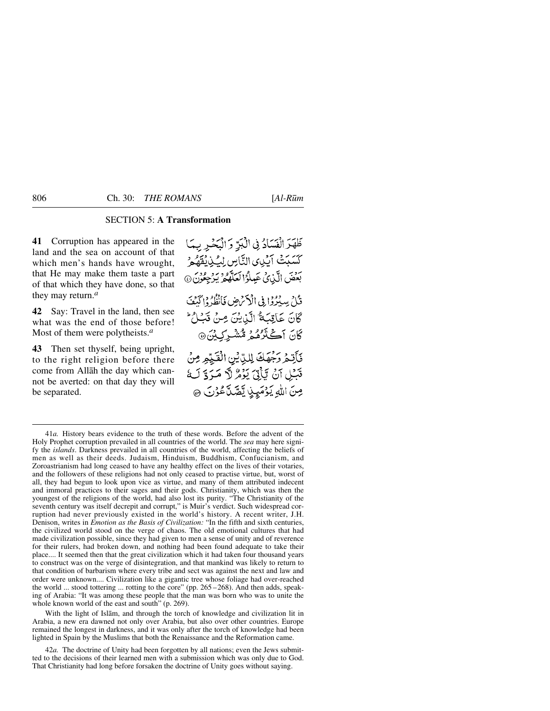# SECTION 5: **A Transformation**

**41** Corruption has appeared in the land and the sea on account of that which men's hands have wrought, that He may make them taste a part of that which they have done, so that they may return.*<sup>a</sup>*

**42** Say: Travel in the land, then see what was the end of those before! Most of them were polytheists.*<sup>a</sup>*

**43** Then set thyself, being upright, to the right religion before there come from Allåh the day which cannot be averted: on that day they will be separated.

ظَهَّرَ الْفَسَادُ فِي الْكِرِّ وَ الْبَحْيِرِ بِهَا كَسَبَتْ آيَٰنِى) التَّاسِ لِيُّذِيْقَهُمْ بَعْضَ الَّذِى عَيِّلُوُ الْعَلَّهُمُ يَرْجِعُونَ @ قُابِرُ سِدْوُدًا فِي الْأَحْرَضِ فَأَنْظُهُ وَائْكُفَ كَانَ عَاقِبَهُ الَّذِينَ مِنْ قَبْلُ ۚ كَانَ أَكْثَرُهُمْ مُّشْيَرَكِيْنَ۞ فَأَنِّعْرُ رَجْهَكَ لِلدِّيْنِ الْفَيِّعِ مِنْ قَبْلِ آنْ يَأْتِيَ يَوْمُ لَّا مَرَدَّ لَهُ صِنَ اللهِ يَوْمَيِنِ يَصَّدَّعُوْنَ ۞

With the light of Islåm, and through the torch of knowledge and civilization lit in Arabia, a new era dawned not only over Arabia, but also over other countries. Europe remained the longest in darkness, and it was only after the torch of knowledge had been lighted in Spain by the Muslims that both the Renaissance and the Reformation came.

42*a.* The doctrine of Unity had been forgotten by all nations; even the Jews submitted to the decisions of their learned men with a submission which was only due to God. That Christianity had long before forsaken the doctrine of Unity goes without saying.

<sup>41</sup>*a.* History bears evidence to the truth of these words. Before the advent of the Holy Prophet corruption prevailed in all countries of the world. The *sea* may here signify the *islands*. Darkness prevailed in all countries of the world, affecting the beliefs of men as well as their deeds. Judaism, Hinduism, Buddhism, Confucianism, and Zoroastrianism had long ceased to have any healthy effect on the lives of their votaries, and the followers of these religions had not only ceased to practise virtue, but, worst of all, they had begun to look upon vice as virtue, and many of them attributed indecent and immoral practices to their sages and their gods. Christianity, which was then the youngest of the religions of the world, had also lost its purity. "The Christianity of the seventh century was itself decrepit and corrupt," is Muir's verdict. Such widespread corruption had never previously existed in the world's history. A recent writer, J.H. Denison, writes in *Emotion as the Basis of Civilization:* "In the fifth and sixth centuries, the civilized world stood on the verge of chaos. The old emotional cultures that had made civilization possible, since they had given to men a sense of unity and of reverence for their rulers, had broken down, and nothing had been found adequate to take their place.... It seemed then that the great civilization which it had taken four thousand years to construct was on the verge of disintegration, and that mankind was likely to return to that condition of barbarism where every tribe and sect was against the next and law and order were unknown.... Civilization like a gigantic tree whose foliage had over-reached the world ... stood tottering ... rotting to the core" (pp.  $265-268$ ). And then adds, speaking of Arabia: "It was among these people that the man was born who was to unite the whole known world of the east and south" (p. 269).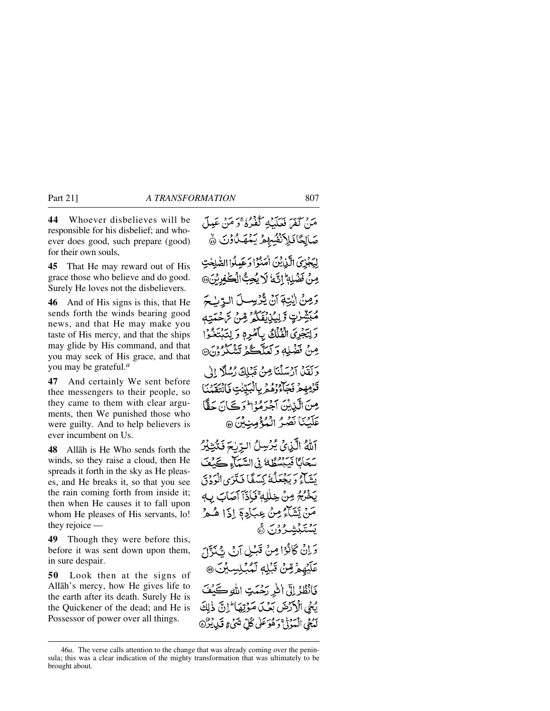**44** Whoever disbelieves will be responsible for his disbelief; and whoever does good, such prepare (good) for their own souls,

**45** That He may reward out of His grace those who believe and do good. Surely He loves not the disbelievers.

**46** And of His signs is this, that He sends forth the winds bearing good news, and that He may make you taste of His mercy, and that the ships may glide by His command, and that you may seek of His grace, and that you may be grateful.*<sup>a</sup>*

**47** And certainly We sent before thee messengers to their people, so they came to them with clear arguments, then We punished those who were guilty. And to help believers is ever incumbent on Us.

**48** Allåh is He Who sends forth the winds, so they raise a cloud, then He spreads it forth in the sky as He pleases, and He breaks it, so that you see the rain coming forth from inside it; then when He causes it to fall upon whom He pleases of His servants, lo! they rejoice —

**49** Though they were before this, before it was sent down upon them, in sure despair.

**50** Look then at the signs of Allåh's mercy, how He gives life to the earth after its death. Surely He is the Quickener of the dead; and He is Possessor of power over all things.

مَنْ كَفَيْرَ فَعَلَيْكَهُ كَفَيْرُهُ ۚ وَ مَنْ عَبِيلَ صَالِحًا فَلِأَنْفُسُهِمْ يَعْمَلُوْنَ ﴾ لِيَجْزِيَ الَّذِيْنَ أَمَنُوْا دَعَيلُوا الصَّلِحْتِ مِنْ نَضْلِهِ إِنَّ لَا يُحِبُّ الْكَفِرِينَ@ وَمِنْ الَّذِيةَ آنُ يُّذْيِسِيلَ الِّهِ سُبَرَ مُبَشِّرٰتٍ تَرْيِيُزِيۡتَكُمُّ مِّنۡ سَّحۡتَتِهٖ وَلِتَجْرِيَ الْفُلُكُ بِأَصْرِهِ وَلِتَبْتَغُوْا مِنْ نَفْهَلِهِ دَ لَعَلَّكُمْ تَشْكُرُونَ® وَلَقَلْ آرْسَلْنَا مِنْ قَبْلِكَ رُسُلًا إِلَىٰ قَرْمِهِمْ فَجَآءُ وُهُمْ بِالْبَيِّنٰتِ فَانْتَقَبْنَا مِنَ الَّذِينَ آخِرَهُوۡ الرِّڪَانَ حَقًّا عَلَيْنَا نَصْرُ الْمُؤْمِنِيْنَ @ آللَّهُ الَّذِينَ يُرْسِلُ الرَّبْحَ فَكَّتِيْكِرُ سَحَانًا فَيَبْسُطُهُ فِي السَّبِيَّاءِ كَيْفَ بَيِّياً وَيَجْعَلُهُ كِيَبَيْغَا فَيَلَزَى الْوَدْقَ يَخْرُجُ مِنْ خِلْلِهِ ۚ فَإِذَآ آَصَابَ بِ مَنْ يَشَاءُ مِنْ عِبَادِ ۚ إِذَا هُمْ يَشْنَبْيَشْيَرُوْنَ ۞ وَإِنْ كَانُوْا مِنْ قَبْلِ آنْ يُّنَزَّلَ عَلَّيْهِمْ قِنْ قَبْلِهِ لَمُبْلِسِيْنَ @ فَانْظُرُ إِلَّى اللَّهِ رَحْمَتِ اللَّهِ كَيْفَ يْحْيِ الْأَرْضَ بَعْيَ مَوْتِهَا \* إِنَّ ذٰلِكَ لَمُعْيَ الْمَيْوَنَيْ دَ فُوَعَلَىٰ كُلِّ شَيْءٍ قَبِدِيْنُ ۞

<sup>46</sup>*a.* The verse calls attention to the change that was already coming over the peninsula; this was a clear indication of the mighty transformation that was ultimately to be brought about.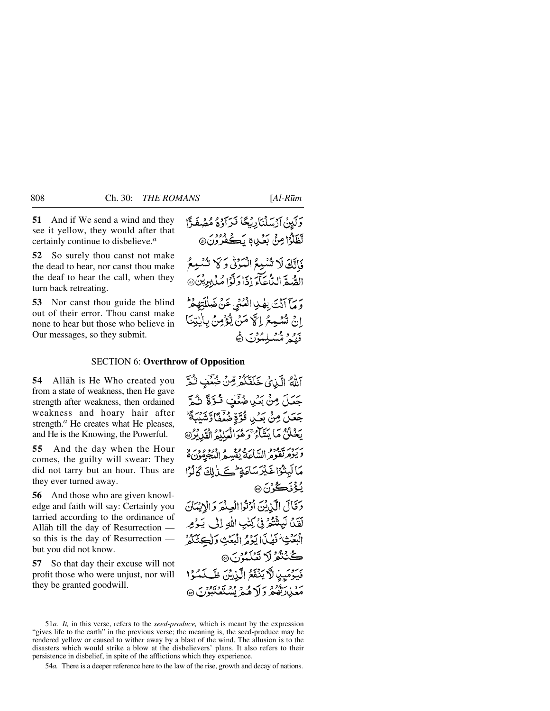**51** And if We send a wind and they see it yellow, they would after that certainly continue to disbelieve.*<sup>a</sup>*

**52** So surely thou canst not make the dead to hear, nor canst thou make the deaf to hear the call, when they turn back retreating.

**53** Nor canst thou guide the blind out of their error. Thou canst make none to hear but those who believe in Our messages, so they submit.

## SECTION 6: **Overthrow of Opposition**

**54** Allåh is He Who created you from a state of weakness, then He gave strength after weakness, then ordained weakness and hoary hair after strength.*<sup>a</sup>* He creates what He pleases, and He is the Knowing, the Powerful.

**55** And the day when the Hour comes, the guilty will swear: They did not tarry but an hour. Thus are they ever turned away.

**56** And those who are given knowledge and faith will say: Certainly you tarried according to the ordinance of Allåh till the day of Resurrection so this is the day of Resurrection but you did not know.

**57** So that day their excuse will not profit those who were unjust, nor will they be granted goodwill.

اللهُ الَّذِيْ خَلَقْكُمْ مِّنْ ضُغَّفٍ تُمَّ جَعَلَ مِنْ بَعْيِ ضُمَّفٍ قُوَّةً ثُمَّ جَعَلَ مِنْ بَعۡلِي قُوَّةٍ مُهۡفَقَا وَشَيۡبَةً ؕ يَخْلُنُّ مَا يَشَاءُ وَهُوَالْعَلَيْهِ الْقَلِيْرُ» وَيَؤْمَرَتَّقَوْمُ السَّاعَةُ يُقْسِمُ الْمُجْرِمُونَ هُ مَالَيِتْدُاخَيْرَسَاعَةٍ حَيَىٰ لِكَ كَانُوْا **يُؤْنَڪُ**رُنَ @ وَقَالَ الَّذِيْنَ أَوْتُوا الْعِلْمَ وَالْإِيْمَانَ لَقَدْ، لَيَنْتُنَّحَرْ فِي كِتْبِ اللَّهِ إِلَى يَكُومِ الْبَعَثِ فَهْلَ الْكِوْثِرِ الْبَعَثِ وَلْكِتَكُثُرُ ڪُٺٽُوُ لَا تَعُلَيُوْنَ @ مَبْهِمَيِنِ لَاَ يَنْفَعُ الَّذِينَ ظَلَمْتُوْا مَعْيٰدَتِّفْعُ وَلَاهُمْ يُسْتَعْتَبُوْنَ ۞

<sup>51</sup>*a. It,* in this verse, refers to the *seed-produce,* which is meant by the expression "gives life to the earth" in the previous verse; the meaning is, the seed-produce may be rendered yellow or caused to wither away by a blast of the wind. The allusion is to the disasters which would strike a blow at the disbelievers' plans. It also refers to their persistence in disbelief, in spite of the afflictions which they experience.

<sup>54</sup>*a.* There is a deeper reference here to the law of the rise, growth and decay of nations.